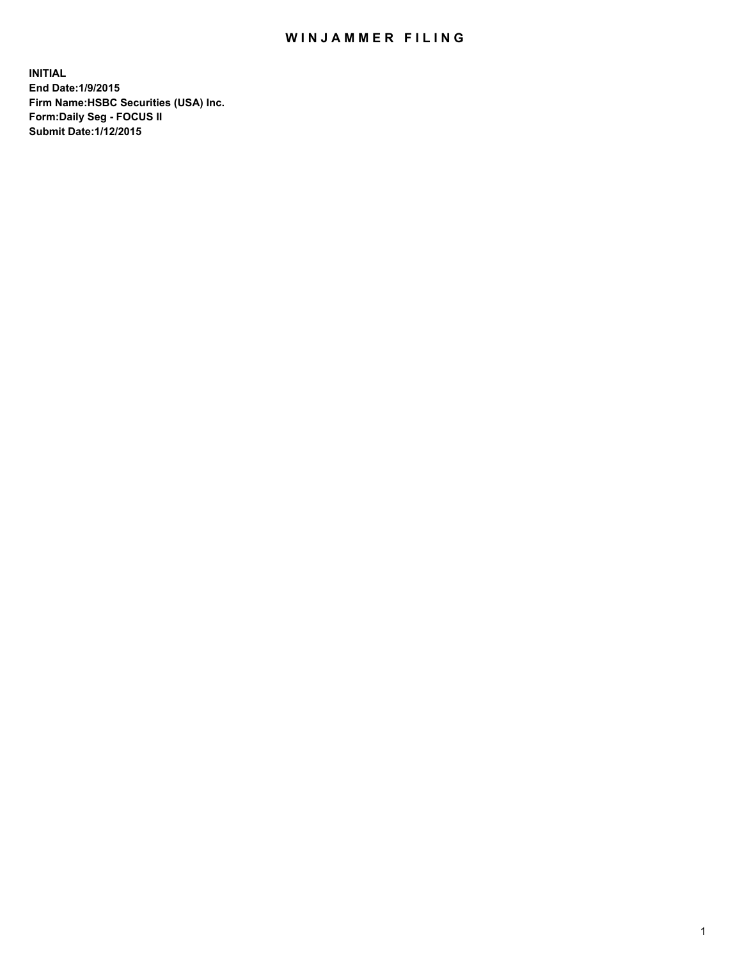## WIN JAMMER FILING

**INITIAL End Date:1/9/2015 Firm Name:HSBC Securities (USA) Inc. Form:Daily Seg - FOCUS II Submit Date:1/12/2015**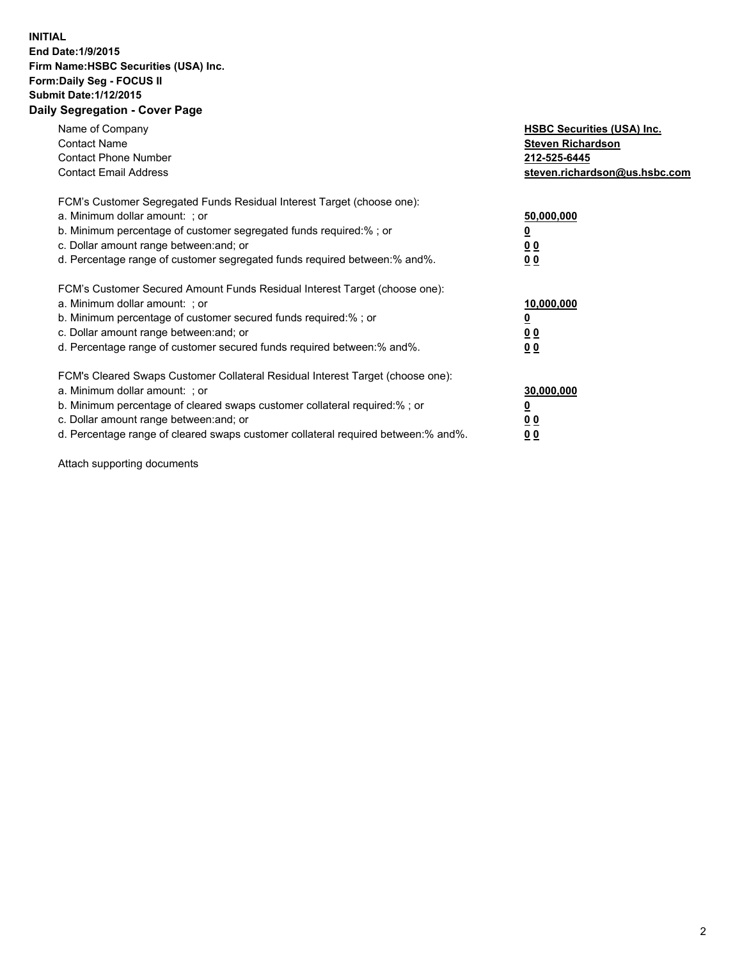## **INITIAL End Date:1/9/2015 Firm Name:HSBC Securities (USA) Inc. Form:Daily Seg - FOCUS II Submit Date:1/12/2015 Daily Segregation - Cover Page**

| Name of Company<br><b>Contact Name</b><br><b>Contact Phone Number</b><br><b>Contact Email Address</b>                                                                                                                                                                                                                         | <b>HSBC Securities (USA) Inc.</b><br><b>Steven Richardson</b><br>212-525-6445<br>steven.richardson@us.hsbc.com |
|-------------------------------------------------------------------------------------------------------------------------------------------------------------------------------------------------------------------------------------------------------------------------------------------------------------------------------|----------------------------------------------------------------------------------------------------------------|
| FCM's Customer Segregated Funds Residual Interest Target (choose one):<br>a. Minimum dollar amount: ; or<br>b. Minimum percentage of customer segregated funds required:% ; or<br>c. Dollar amount range between: and; or<br>d. Percentage range of customer segregated funds required between: % and %.                      | 50,000,000<br>0 <sub>0</sub><br>0 <sub>0</sub>                                                                 |
| FCM's Customer Secured Amount Funds Residual Interest Target (choose one):<br>a. Minimum dollar amount: ; or<br>b. Minimum percentage of customer secured funds required:%; or<br>c. Dollar amount range between: and; or<br>d. Percentage range of customer secured funds required between:% and%.                           | 10,000,000<br>0 <sub>0</sub><br>00                                                                             |
| FCM's Cleared Swaps Customer Collateral Residual Interest Target (choose one):<br>a. Minimum dollar amount: ; or<br>b. Minimum percentage of cleared swaps customer collateral required:%; or<br>c. Dollar amount range between: and; or<br>d. Percentage range of cleared swaps customer collateral required between:% and%. | 30,000,000<br>0 <sub>0</sub><br>00                                                                             |

Attach supporting documents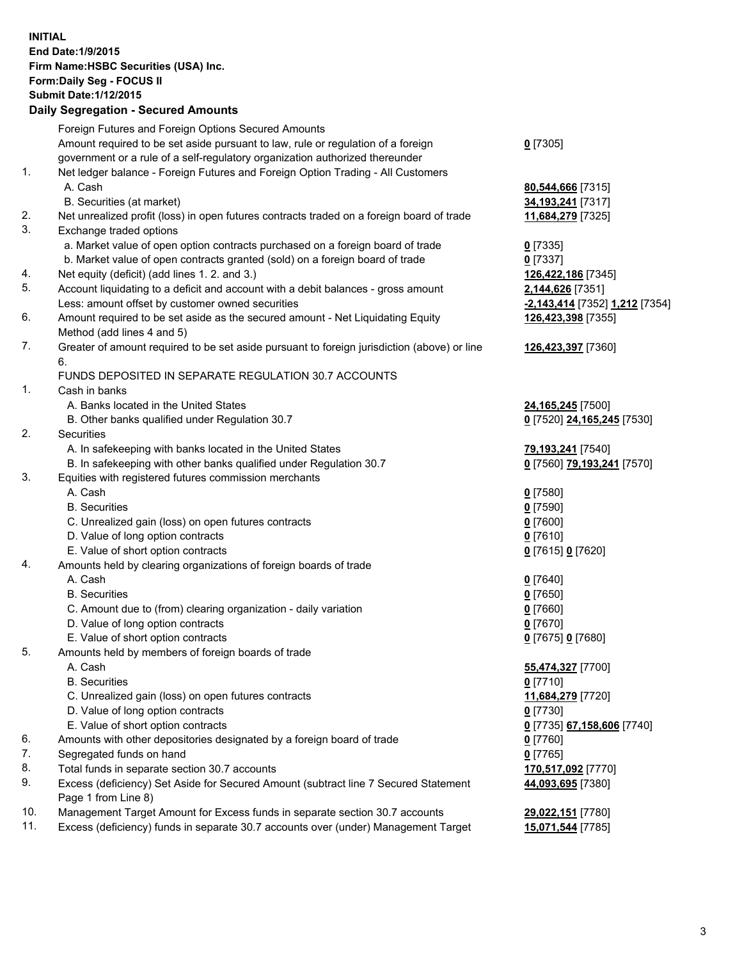**INITIAL End Date:1/9/2015 Firm Name:HSBC Securities (USA) Inc. Form:Daily Seg - FOCUS II Submit Date:1/12/2015 Daily Segregation - Secured Amounts**

Foreign Futures and Foreign Options Secured Amounts Amount required to be set aside pursuant to law, rule or regulation of a foreign government or a rule of a self-regulatory organization authorized thereunder **0** [7305] 1. Net ledger balance - Foreign Futures and Foreign Option Trading - All Customers A. Cash **80,544,666** [7315] B. Securities (at market) **34,193,241** [7317] 2. Net unrealized profit (loss) in open futures contracts traded on a foreign board of trade **11,684,279** [7325] 3. Exchange traded options a. Market value of open option contracts purchased on a foreign board of trade **0** [7335] b. Market value of open contracts granted (sold) on a foreign board of trade **0** [7337] 4. Net equity (deficit) (add lines 1. 2. and 3.) **126,422,186** [7345] 5. Account liquidating to a deficit and account with a debit balances - gross amount **2,144,626** [7351] Less: amount offset by customer owned securities **-2,143,414** [7352] **1,212** [7354] 6. Amount required to be set aside as the secured amount - Net Liquidating Equity Method (add lines 4 and 5) **126,423,398** [7355] 7. Greater of amount required to be set aside pursuant to foreign jurisdiction (above) or line 6. **126,423,397** [7360] FUNDS DEPOSITED IN SEPARATE REGULATION 30.7 ACCOUNTS 1. Cash in banks A. Banks located in the United States **24,165,245** [7500] B. Other banks qualified under Regulation 30.7 **0** [7520] **24,165,245** [7530] 2. Securities A. In safekeeping with banks located in the United States **79,193,241** [7540] B. In safekeeping with other banks qualified under Regulation 30.7 **0** [7560] **79,193,241** [7570] 3. Equities with registered futures commission merchants A. Cash **0** [7580] B. Securities **0** [7590] C. Unrealized gain (loss) on open futures contracts **0** [7600] D. Value of long option contracts **0** [7610] E. Value of short option contracts **0** [7615] **0** [7620] 4. Amounts held by clearing organizations of foreign boards of trade A. Cash **0** [7640] B. Securities **0** [7650] C. Amount due to (from) clearing organization - daily variation **0** [7660] D. Value of long option contracts **0** [7670] E. Value of short option contracts **0** [7675] **0** [7680] 5. Amounts held by members of foreign boards of trade A. Cash **55,474,327** [7700] B. Securities **0** [7710] C. Unrealized gain (loss) on open futures contracts **11,684,279** [7720] D. Value of long option contracts **0** [7730] E. Value of short option contracts **0** [7735] **67,158,606** [7740] 6. Amounts with other depositories designated by a foreign board of trade **0** [7760] 7. Segregated funds on hand **0** [7765] 8. Total funds in separate section 30.7 accounts **170,517,092** [7770] 9. Excess (deficiency) Set Aside for Secured Amount (subtract line 7 Secured Statement Page 1 from Line 8) **44,093,695** [7380] 10. Management Target Amount for Excess funds in separate section 30.7 accounts **29,022,151** [7780] 11. Excess (deficiency) funds in separate 30.7 accounts over (under) Management Target **15,071,544** [7785]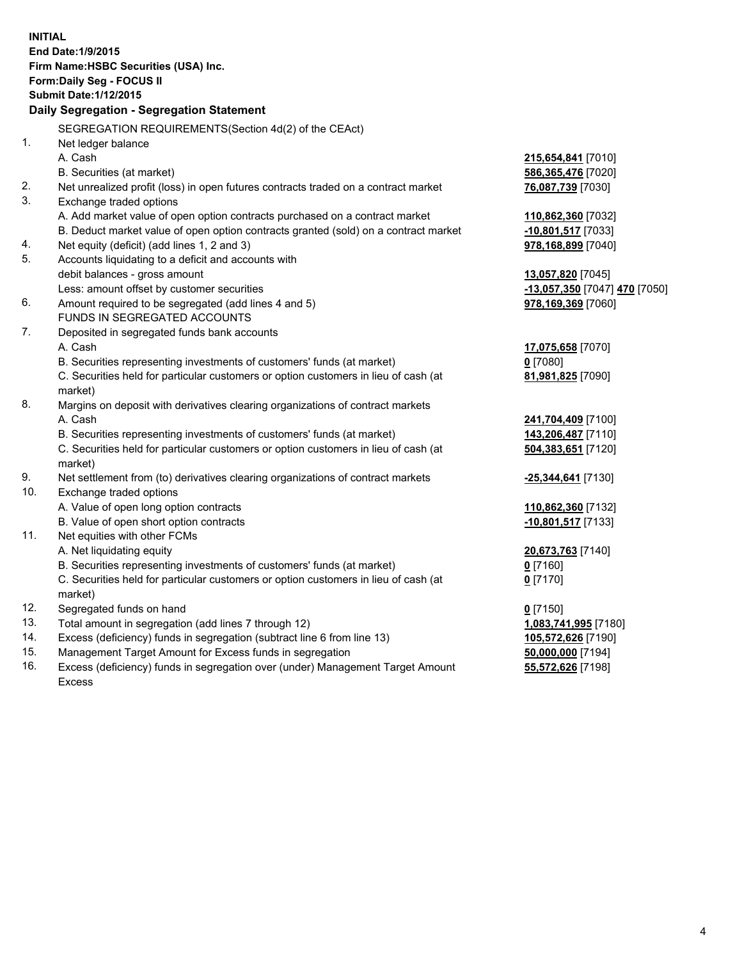| <b>INITIAL</b>                        | End Date: 1/9/2015                                                                             |                               |  |  |  |  |
|---------------------------------------|------------------------------------------------------------------------------------------------|-------------------------------|--|--|--|--|
| Firm Name: HSBC Securities (USA) Inc. |                                                                                                |                               |  |  |  |  |
|                                       | Form: Daily Seg - FOCUS II                                                                     |                               |  |  |  |  |
|                                       | <b>Submit Date: 1/12/2015</b>                                                                  |                               |  |  |  |  |
|                                       | Daily Segregation - Segregation Statement                                                      |                               |  |  |  |  |
|                                       | SEGREGATION REQUIREMENTS(Section 4d(2) of the CEAct)                                           |                               |  |  |  |  |
| 1.                                    | Net ledger balance                                                                             |                               |  |  |  |  |
|                                       | A. Cash                                                                                        | 215,654,841 [7010]            |  |  |  |  |
|                                       | B. Securities (at market)                                                                      | 586,365,476 [7020]            |  |  |  |  |
| 2.                                    | Net unrealized profit (loss) in open futures contracts traded on a contract market             | 76,087,739 [7030]             |  |  |  |  |
| 3.                                    | Exchange traded options                                                                        |                               |  |  |  |  |
|                                       | A. Add market value of open option contracts purchased on a contract market                    | 110,862,360 [7032]            |  |  |  |  |
|                                       | B. Deduct market value of open option contracts granted (sold) on a contract market            | -10,801,517 [7033]            |  |  |  |  |
| 4.                                    | Net equity (deficit) (add lines 1, 2 and 3)                                                    | 978,168,899 [7040]            |  |  |  |  |
| 5.                                    | Accounts liquidating to a deficit and accounts with                                            |                               |  |  |  |  |
|                                       | debit balances - gross amount                                                                  | 13,057,820 [7045]             |  |  |  |  |
|                                       | Less: amount offset by customer securities                                                     | -13,057,350 [7047] 470 [7050] |  |  |  |  |
| 6.                                    | Amount required to be segregated (add lines 4 and 5)                                           | 978,169,369 [7060]            |  |  |  |  |
|                                       | FUNDS IN SEGREGATED ACCOUNTS                                                                   |                               |  |  |  |  |
| 7.                                    | Deposited in segregated funds bank accounts                                                    |                               |  |  |  |  |
|                                       | A. Cash                                                                                        | 17,075,658 [7070]             |  |  |  |  |
|                                       | B. Securities representing investments of customers' funds (at market)                         | $0$ [7080]                    |  |  |  |  |
|                                       | C. Securities held for particular customers or option customers in lieu of cash (at            | 81,981,825 [7090]             |  |  |  |  |
|                                       | market)                                                                                        |                               |  |  |  |  |
| 8.                                    | Margins on deposit with derivatives clearing organizations of contract markets                 |                               |  |  |  |  |
|                                       | A. Cash                                                                                        | 241,704,409 [7100]            |  |  |  |  |
|                                       | B. Securities representing investments of customers' funds (at market)                         | 143,206,487 [7110]            |  |  |  |  |
|                                       | C. Securities held for particular customers or option customers in lieu of cash (at<br>market) | 504,383,651 [7120]            |  |  |  |  |
| 9.                                    | Net settlement from (to) derivatives clearing organizations of contract markets                | <u>-25,344,641</u> [7130]     |  |  |  |  |
| 10.                                   | Exchange traded options                                                                        |                               |  |  |  |  |
|                                       | A. Value of open long option contracts                                                         | 110,862,360 [7132]            |  |  |  |  |
|                                       | B. Value of open short option contracts                                                        | $-10,801,517$ [7133]          |  |  |  |  |
| 11.                                   | Net equities with other FCMs                                                                   |                               |  |  |  |  |
|                                       | A. Net liquidating equity                                                                      | 20,673,763 [7140]             |  |  |  |  |
|                                       | B. Securities representing investments of customers' funds (at market)                         | $0$ [7160]                    |  |  |  |  |
|                                       | C. Securities held for particular customers or option customers in lieu of cash (at            | $0$ [7170]                    |  |  |  |  |
|                                       | market)                                                                                        |                               |  |  |  |  |
| 12.                                   | Segregated funds on hand                                                                       | $0$ [7150]                    |  |  |  |  |
| 13.                                   | Total amount in segregation (add lines 7 through 12)                                           | 1,083,741,995 [7180]          |  |  |  |  |
| 14.                                   | Excess (deficiency) funds in segregation (subtract line 6 from line 13)                        | 105,572,626 [7190]            |  |  |  |  |
| 15.                                   | Management Target Amount for Excess funds in segregation                                       | 50,000,000 [7194]             |  |  |  |  |
| 16.                                   | Excess (deficiency) funds in segregation over (under) Management Target Amount                 | 55,572,626 [7198]             |  |  |  |  |

Excess